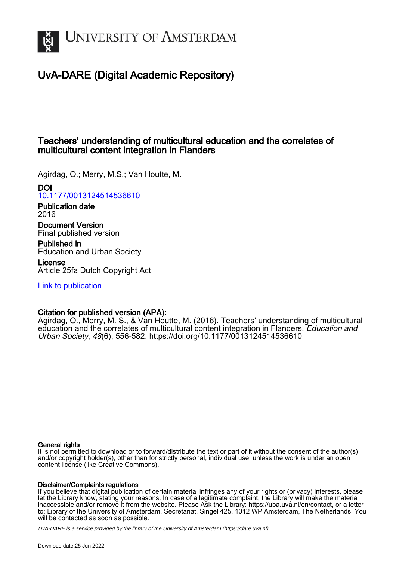

# UvA-DARE (Digital Academic Repository)

# Teachers' understanding of multicultural education and the correlates of multicultural content integration in Flanders

Agirdag, O.; Merry, M.S.; Van Houtte, M.

# DOI

[10.1177/0013124514536610](https://doi.org/10.1177/0013124514536610)

Publication date 2016

Document Version Final published version

Published in Education and Urban Society

License Article 25fa Dutch Copyright Act

[Link to publication](https://dare.uva.nl/personal/pure/en/publications/teachers-understanding-of-multicultural-education-and-the-correlates-of-multicultural-content-integration-in-flanders(70f45467-17ad-4eb7-9928-3370cd354cfe).html)

# Citation for published version (APA):

Agirdag, O., Merry, M. S., & Van Houtte, M. (2016). Teachers' understanding of multicultural education and the correlates of multicultural content integration in Flanders. Education and Urban Society, 48(6), 556-582.<https://doi.org/10.1177/0013124514536610>

#### General rights

It is not permitted to download or to forward/distribute the text or part of it without the consent of the author(s) and/or copyright holder(s), other than for strictly personal, individual use, unless the work is under an open content license (like Creative Commons).

#### Disclaimer/Complaints regulations

If you believe that digital publication of certain material infringes any of your rights or (privacy) interests, please let the Library know, stating your reasons. In case of a legitimate complaint, the Library will make the material inaccessible and/or remove it from the website. Please Ask the Library: https://uba.uva.nl/en/contact, or a letter to: Library of the University of Amsterdam, Secretariat, Singel 425, 1012 WP Amsterdam, The Netherlands. You will be contacted as soon as possible.

UvA-DARE is a service provided by the library of the University of Amsterdam (http*s*://dare.uva.nl)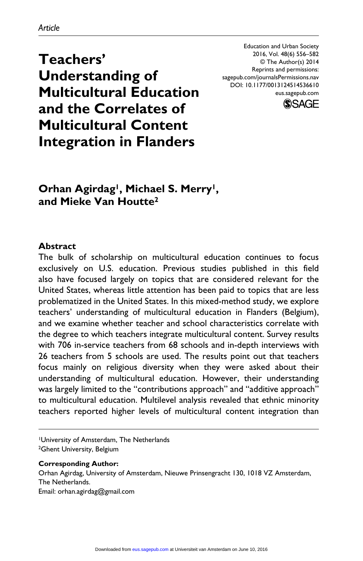**Teachers' Understanding of Multicultural Education and the Correlates of Multicultural Content Integration in Flanders**

Education and Urban Society 2016, Vol. 48(6) 556–582 © The Author(s) 2014 Reprints and permissions: sagepub.com/journalsPermissions.nav DOI: 10.1177/0013124514536610 eus.sagepub.com



Orhan Agirdag<sup>1</sup>, Michael S. Merry<sup>1</sup>, **and Mieke Van Houtte2**

#### **Abstract**

The bulk of scholarship on multicultural education continues to focus exclusively on U.S. education. Previous studies published in this field also have focused largely on topics that are considered relevant for the United States, whereas little attention has been paid to topics that are less problematized in the United States. In this mixed-method study, we explore teachers' understanding of multicultural education in Flanders (Belgium), and we examine whether teacher and school characteristics correlate with the degree to which teachers integrate multicultural content. Survey results with 706 in-service teachers from 68 schools and in-depth interviews with 26 teachers from 5 schools are used. The results point out that teachers focus mainly on religious diversity when they were asked about their understanding of multicultural education. However, their understanding was largely limited to the "contributions approach" and "additive approach" to multicultural education. Multilevel analysis revealed that ethnic minority teachers reported higher levels of multicultural content integration than

1University of Amsterdam, The Netherlands 2Ghent University, Belgium

**Corresponding Author:** Orhan Agirdag, University of Amsterdam, Nieuwe Prinsengracht 130, 1018 VZ Amsterdam, The Netherlands. Email: [orhan.agirdag@gmail.com](mailto:orhan.agirdag@gmail.com)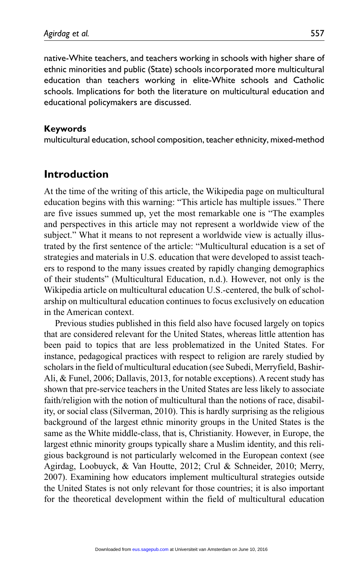native-White teachers, and teachers working in schools with higher share of ethnic minorities and public (State) schools incorporated more multicultural education than teachers working in elite-White schools and Catholic schools. Implications for both the literature on multicultural education and educational policymakers are discussed.

#### **Keywords**

multicultural education, school composition, teacher ethnicity, mixed-method

### **Introduction**

At the time of the writing of this article, the Wikipedia page on multicultural education begins with this warning: "This article has multiple issues." There are five issues summed up, yet the most remarkable one is "The examples and perspectives in this article may not represent a worldwide view of the subject." What it means to not represent a worldwide view is actually illustrated by the first sentence of the article: "Multicultural education is a set of strategies and materials in U.S. education that were developed to assist teachers to respond to the many issues created by rapidly changing demographics of their students" (Multicultural Education, n.d.). However, not only is the Wikipedia article on multicultural education U.S.-centered, the bulk of scholarship on multicultural education continues to focus exclusively on education in the American context.

Previous studies published in this field also have focused largely on topics that are considered relevant for the United States, whereas little attention has been paid to topics that are less problematized in the United States. For instance, pedagogical practices with respect to religion are rarely studied by scholars in the field of multicultural education (see Subedi, Merryfield, Bashir-Ali, & Funel, 2006; Dallavis, 2013, for notable exceptions). A recent study has shown that pre-service teachers in the United States are less likely to associate faith/religion with the notion of multicultural than the notions of race, disability, or social class (Silverman, 2010). This is hardly surprising as the religious background of the largest ethnic minority groups in the United States is the same as the White middle-class, that is, Christianity. However, in Europe, the largest ethnic minority groups typically share a Muslim identity, and this religious background is not particularly welcomed in the European context (see Agirdag, Loobuyck, & Van Houtte, 2012; Crul & Schneider, 2010; Merry, 2007). Examining how educators implement multicultural strategies outside the United States is not only relevant for those countries; it is also important for the theoretical development within the field of multicultural education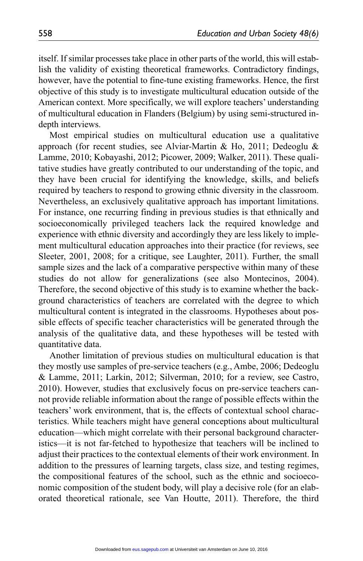itself. If similar processes take place in other parts of the world, this will establish the validity of existing theoretical frameworks. Contradictory findings, however, have the potential to fine-tune existing frameworks. Hence, the first objective of this study is to investigate multicultural education outside of the American context. More specifically, we will explore teachers' understanding of multicultural education in Flanders (Belgium) by using semi-structured indepth interviews.

Most empirical studies on multicultural education use a qualitative approach (for recent studies, see Alviar-Martin & Ho, 2011; Dedeoglu & Lamme, 2010; Kobayashi, 2012; Picower, 2009; Walker, 2011). These qualitative studies have greatly contributed to our understanding of the topic, and they have been crucial for identifying the knowledge, skills, and beliefs required by teachers to respond to growing ethnic diversity in the classroom. Nevertheless, an exclusively qualitative approach has important limitations. For instance, one recurring finding in previous studies is that ethnically and socioeconomically privileged teachers lack the required knowledge and experience with ethnic diversity and accordingly they are less likely to implement multicultural education approaches into their practice (for reviews, see Sleeter, 2001, 2008; for a critique, see Laughter, 2011). Further, the small sample sizes and the lack of a comparative perspective within many of these studies do not allow for generalizations (see also Montecinos, 2004). Therefore, the second objective of this study is to examine whether the background characteristics of teachers are correlated with the degree to which multicultural content is integrated in the classrooms. Hypotheses about possible effects of specific teacher characteristics will be generated through the analysis of the qualitative data, and these hypotheses will be tested with quantitative data.

Another limitation of previous studies on multicultural education is that they mostly use samples of pre-service teachers (e.g., Ambe, 2006; Dedeoglu & Lamme, 2011; Larkin, 2012; Silverman, 2010; for a review, see Castro, 2010). However, studies that exclusively focus on pre-service teachers cannot provide reliable information about the range of possible effects within the teachers' work environment, that is, the effects of contextual school characteristics. While teachers might have general conceptions about multicultural education—which might correlate with their personal background characteristics—it is not far-fetched to hypothesize that teachers will be inclined to adjust their practices to the contextual elements of their work environment. In addition to the pressures of learning targets, class size, and testing regimes, the compositional features of the school, such as the ethnic and socioeconomic composition of the student body, will play a decisive role (for an elaborated theoretical rationale, see Van Houtte, 2011). Therefore, the third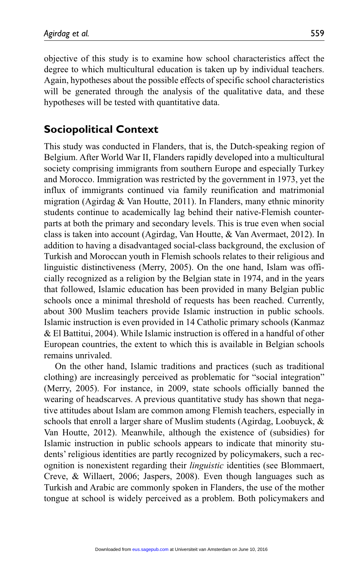objective of this study is to examine how school characteristics affect the degree to which multicultural education is taken up by individual teachers. Again, hypotheses about the possible effects of specific school characteristics will be generated through the analysis of the qualitative data, and these hypotheses will be tested with quantitative data.

### **Sociopolitical Context**

This study was conducted in Flanders, that is, the Dutch-speaking region of Belgium. After World War II, Flanders rapidly developed into a multicultural society comprising immigrants from southern Europe and especially Turkey and Morocco. Immigration was restricted by the government in 1973, yet the influx of immigrants continued via family reunification and matrimonial migration (Agirdag & Van Houtte, 2011). In Flanders, many ethnic minority students continue to academically lag behind their native-Flemish counterparts at both the primary and secondary levels. This is true even when social class is taken into account (Agirdag, Van Houtte, & Van Avermaet, 2012). In addition to having a disadvantaged social-class background, the exclusion of Turkish and Moroccan youth in Flemish schools relates to their religious and linguistic distinctiveness (Merry, 2005). On the one hand, Islam was officially recognized as a religion by the Belgian state in 1974, and in the years that followed, Islamic education has been provided in many Belgian public schools once a minimal threshold of requests has been reached. Currently, about 300 Muslim teachers provide Islamic instruction in public schools. Islamic instruction is even provided in 14 Catholic primary schools (Kanmaz & El Battitui, 2004). While Islamic instruction is offered in a handful of other European countries, the extent to which this is available in Belgian schools remains unrivaled.

On the other hand, Islamic traditions and practices (such as traditional clothing) are increasingly perceived as problematic for "social integration" (Merry, 2005). For instance, in 2009, state schools officially banned the wearing of headscarves. A previous quantitative study has shown that negative attitudes about Islam are common among Flemish teachers, especially in schools that enroll a larger share of Muslim students (Agirdag, Loobuyck, & Van Houtte, 2012). Meanwhile, although the existence of (subsidies) for Islamic instruction in public schools appears to indicate that minority students' religious identities are partly recognized by policymakers, such a recognition is nonexistent regarding their *linguistic* identities (see Blommaert, Creve, & Willaert, 2006; Jaspers, 2008). Even though languages such as Turkish and Arabic are commonly spoken in Flanders, the use of the mother tongue at school is widely perceived as a problem. Both policymakers and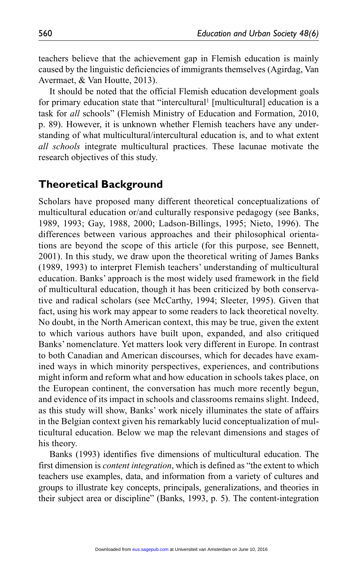teachers believe that the achievement gap in Flemish education is mainly caused by the linguistic deficiencies of immigrants themselves (Agirdag, Van Avermaet, & Van Houtte, 2013).

It should be noted that the official Flemish education development goals for primary education state that "intercultural<sup>1</sup> [multicultural] education is a task for *all* schools" (Flemish Ministry of Education and Formation, 2010, p. 89). However, it is unknown whether Flemish teachers have any understanding of what multicultural/intercultural education is, and to what extent *all schools* integrate multicultural practices. These lacunae motivate the research objectives of this study.

### **Theoretical Background**

Scholars have proposed many different theoretical conceptualizations of multicultural education or/and culturally responsive pedagogy (see Banks, 1989, 1993; Gay, 1988, 2000; Ladson-Billings, 1995; Nieto, 1996). The differences between various approaches and their philosophical orientations are beyond the scope of this article (for this purpose, see Bennett, 2001). In this study, we draw upon the theoretical writing of James Banks (1989, 1993) to interpret Flemish teachers' understanding of multicultural education. Banks' approach is the most widely used framework in the field of multicultural education, though it has been criticized by both conservative and radical scholars (see McCarthy, 1994; Sleeter, 1995). Given that fact, using his work may appear to some readers to lack theoretical novelty. No doubt, in the North American context, this may be true, given the extent to which various authors have built upon, expanded, and also critiqued Banks' nomenclature. Yet matters look very different in Europe. In contrast to both Canadian and American discourses, which for decades have examined ways in which minority perspectives, experiences, and contributions might inform and reform what and how education in schools takes place, on the European continent, the conversation has much more recently begun, and evidence of its impact in schools and classrooms remains slight. Indeed, as this study will show, Banks' work nicely illuminates the state of affairs in the Belgian context given his remarkably lucid conceptualization of multicultural education. Below we map the relevant dimensions and stages of his theory.

Banks (1993) identifies five dimensions of multicultural education. The first dimension is *content integration*, which is defined as "the extent to which teachers use examples, data, and information from a variety of cultures and groups to illustrate key concepts, principals, generalizations, and theories in their subject area or discipline" (Banks, 1993, p. 5). The content-integration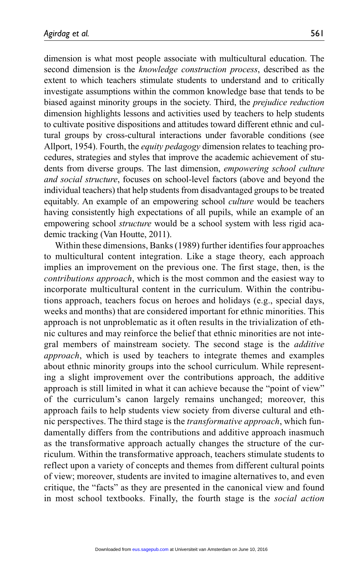dimension is what most people associate with multicultural education. The second dimension is the *knowledge construction process*, described as the extent to which teachers stimulate students to understand and to critically investigate assumptions within the common knowledge base that tends to be biased against minority groups in the society. Third, the *prejudice reduction* dimension highlights lessons and activities used by teachers to help students to cultivate positive dispositions and attitudes toward different ethnic and cultural groups by cross-cultural interactions under favorable conditions (see Allport, 1954). Fourth, the *equity pedagogy* dimension relates to teaching procedures, strategies and styles that improve the academic achievement of students from diverse groups. The last dimension, *empowering school culture and social structure*, focuses on school-level factors (above and beyond the individual teachers) that help students from disadvantaged groups to be treated equitably. An example of an empowering school *culture* would be teachers having consistently high expectations of all pupils, while an example of an empowering school *structure* would be a school system with less rigid academic tracking (Van Houtte, 2011).

Within these dimensions, Banks (1989) further identifies four approaches to multicultural content integration. Like a stage theory, each approach implies an improvement on the previous one. The first stage, then, is the *contributions approach*, which is the most common and the easiest way to incorporate multicultural content in the curriculum. Within the contributions approach, teachers focus on heroes and holidays (e.g., special days, weeks and months) that are considered important for ethnic minorities. This approach is not unproblematic as it often results in the trivialization of ethnic cultures and may reinforce the belief that ethnic minorities are not integral members of mainstream society. The second stage is the *additive approach*, which is used by teachers to integrate themes and examples about ethnic minority groups into the school curriculum. While representing a slight improvement over the contributions approach, the additive approach is still limited in what it can achieve because the "point of view" of the curriculum's canon largely remains unchanged; moreover, this approach fails to help students view society from diverse cultural and ethnic perspectives. The third stage is the *transformative approach*, which fundamentally differs from the contributions and additive approach inasmuch as the transformative approach actually changes the structure of the curriculum. Within the transformative approach, teachers stimulate students to reflect upon a variety of concepts and themes from different cultural points of view; moreover, students are invited to imagine alternatives to, and even critique, the "facts" as they are presented in the canonical view and found in most school textbooks. Finally, the fourth stage is the *social action*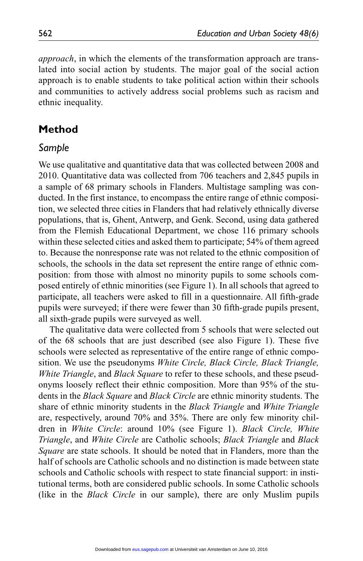*approach*, in which the elements of the transformation approach are translated into social action by students. The major goal of the social action approach is to enable students to take political action within their schools and communities to actively address social problems such as racism and ethnic inequality.

### **Method**

#### *Sample*

We use qualitative and quantitative data that was collected between 2008 and 2010. Quantitative data was collected from 706 teachers and 2,845 pupils in a sample of 68 primary schools in Flanders. Multistage sampling was conducted. In the first instance, to encompass the entire range of ethnic composition, we selected three cities in Flanders that had relatively ethnically diverse populations, that is, Ghent, Antwerp, and Genk. Second, using data gathered from the Flemish Educational Department, we chose 116 primary schools within these selected cities and asked them to participate; 54% of them agreed to. Because the nonresponse rate was not related to the ethnic composition of schools, the schools in the data set represent the entire range of ethnic composition: from those with almost no minority pupils to some schools composed entirely of ethnic minorities (see Figure 1). In all schools that agreed to participate, all teachers were asked to fill in a questionnaire. All fifth-grade pupils were surveyed; if there were fewer than 30 fifth-grade pupils present, all sixth-grade pupils were surveyed as well.

The qualitative data were collected from 5 schools that were selected out of the 68 schools that are just described (see also Figure 1). These five schools were selected as representative of the entire range of ethnic composition. We use the pseudonyms *White Circle, Black Circle, Black Triangle, White Triangle*, and *Black Square* to refer to these schools, and these pseudonyms loosely reflect their ethnic composition. More than 95% of the students in the *Black Square* and *Black Circle* are ethnic minority students. The share of ethnic minority students in the *Black Triangle* and *White Triangle* are, respectively, around 70% and 35%. There are only few minority children in *White Circle*: around 10% (see Figure 1). *Black Circle, White Triangle*, and *White Circle* are Catholic schools; *Black Triangle* and *Black Square* are state schools. It should be noted that in Flanders, more than the half of schools are Catholic schools and no distinction is made between state schools and Catholic schools with respect to state financial support: in institutional terms, both are considered public schools. In some Catholic schools (like in the *Black Circle* in our sample), there are only Muslim pupils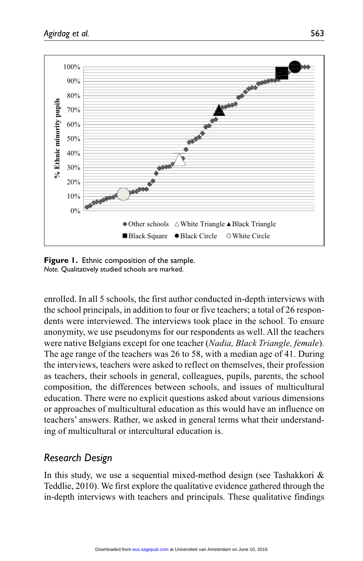

**Figure 1.** Ethnic composition of the sample. *Note.* Qualitatively studied schools are marked.

enrolled. In all 5 schools, the first author conducted in-depth interviews with the school principals, in addition to four or five teachers; a total of 26 respondents were interviewed. The interviews took place in the school. To ensure anonymity, we use pseudonyms for our respondents as well. All the teachers were native Belgians except for one teacher (*Nadia, Black Triangle, female*). The age range of the teachers was 26 to 58, with a median age of 41. During the interviews, teachers were asked to reflect on themselves, their profession as teachers, their schools in general, colleagues, pupils, parents, the school composition, the differences between schools, and issues of multicultural education. There were no explicit questions asked about various dimensions or approaches of multicultural education as this would have an influence on teachers' answers. Rather, we asked in general terms what their understanding of multicultural or intercultural education is.

### *Research Design*

In this study, we use a sequential mixed-method design (see Tashakkori  $\&$ Teddlie, 2010). We first explore the qualitative evidence gathered through the in-depth interviews with teachers and principals. These qualitative findings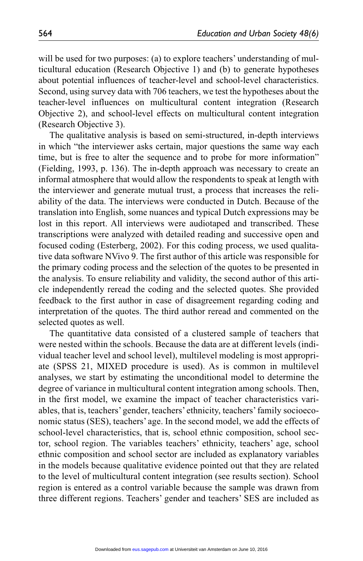will be used for two purposes: (a) to explore teachers' understanding of multicultural education (Research Objective 1) and (b) to generate hypotheses about potential influences of teacher-level and school-level characteristics. Second, using survey data with 706 teachers, we test the hypotheses about the teacher-level influences on multicultural content integration (Research Objective 2), and school-level effects on multicultural content integration (Research Objective 3).

The qualitative analysis is based on semi-structured, in-depth interviews in which "the interviewer asks certain, major questions the same way each time, but is free to alter the sequence and to probe for more information" (Fielding, 1993, p. 136). The in-depth approach was necessary to create an informal atmosphere that would allow the respondents to speak at length with the interviewer and generate mutual trust, a process that increases the reliability of the data. The interviews were conducted in Dutch. Because of the translation into English, some nuances and typical Dutch expressions may be lost in this report. All interviews were audiotaped and transcribed. These transcriptions were analyzed with detailed reading and successive open and focused coding (Esterberg, 2002). For this coding process, we used qualitative data software NVivo 9. The first author of this article was responsible for the primary coding process and the selection of the quotes to be presented in the analysis. To ensure reliability and validity, the second author of this article independently reread the coding and the selected quotes. She provided feedback to the first author in case of disagreement regarding coding and interpretation of the quotes. The third author reread and commented on the selected quotes as well.

The quantitative data consisted of a clustered sample of teachers that were nested within the schools. Because the data are at different levels (individual teacher level and school level), multilevel modeling is most appropriate (SPSS 21, MIXED procedure is used). As is common in multilevel analyses, we start by estimating the unconditional model to determine the degree of variance in multicultural content integration among schools. Then, in the first model, we examine the impact of teacher characteristics variables, that is, teachers' gender, teachers' ethnicity, teachers' family socioeconomic status (SES), teachers' age. In the second model, we add the effects of school-level characteristics, that is, school ethnic composition, school sector, school region. The variables teachers' ethnicity, teachers' age, school ethnic composition and school sector are included as explanatory variables in the models because qualitative evidence pointed out that they are related to the level of multicultural content integration (see results section). School region is entered as a control variable because the sample was drawn from three different regions. Teachers' gender and teachers' SES are included as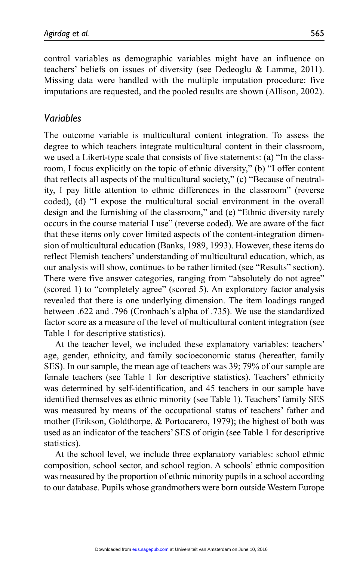control variables as demographic variables might have an influence on teachers' beliefs on issues of diversity (see Dedeoglu & Lamme, 2011). Missing data were handled with the multiple imputation procedure: five imputations are requested, and the pooled results are shown (Allison, 2002).

#### *Variables*

The outcome variable is multicultural content integration. To assess the degree to which teachers integrate multicultural content in their classroom, we used a Likert-type scale that consists of five statements: (a) "In the classroom, I focus explicitly on the topic of ethnic diversity," (b) "I offer content that reflects all aspects of the multicultural society," (c) "Because of neutrality, I pay little attention to ethnic differences in the classroom" (reverse coded), (d) "I expose the multicultural social environment in the overall design and the furnishing of the classroom," and (e) "Ethnic diversity rarely occurs in the course material I use" (reverse coded). We are aware of the fact that these items only cover limited aspects of the content-integration dimension of multicultural education (Banks, 1989, 1993). However, these items do reflect Flemish teachers' understanding of multicultural education, which, as our analysis will show, continues to be rather limited (see "Results" section). There were five answer categories, ranging from "absolutely do not agree" (scored 1) to "completely agree" (scored 5). An exploratory factor analysis revealed that there is one underlying dimension. The item loadings ranged between .622 and .796 (Cronbach's alpha of .735). We use the standardized factor score as a measure of the level of multicultural content integration (see Table 1 for descriptive statistics).

At the teacher level, we included these explanatory variables: teachers' age, gender, ethnicity, and family socioeconomic status (hereafter, family SES). In our sample, the mean age of teachers was 39; 79% of our sample are female teachers (see Table 1 for descriptive statistics). Teachers' ethnicity was determined by self-identification, and 45 teachers in our sample have identified themselves as ethnic minority (see Table 1). Teachers' family SES was measured by means of the occupational status of teachers' father and mother (Erikson, Goldthorpe, & Portocarero, 1979); the highest of both was used as an indicator of the teachers' SES of origin (see Table 1 for descriptive statistics).

At the school level, we include three explanatory variables: school ethnic composition, school sector, and school region. A schools' ethnic composition was measured by the proportion of ethnic minority pupils in a school according to our database. Pupils whose grandmothers were born outside Western Europe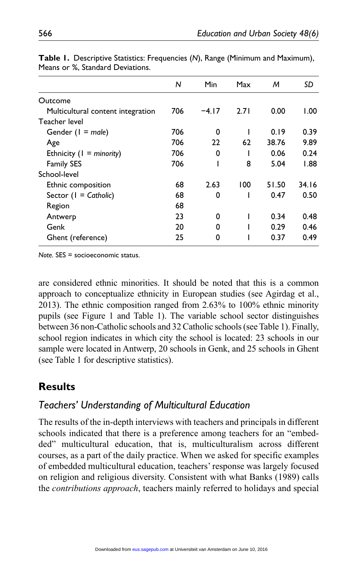|                                   | N   | Min     | Max  | м     | SD    |
|-----------------------------------|-----|---------|------|-------|-------|
| Outcome                           |     |         |      |       |       |
| Multicultural content integration | 706 | $-4.17$ | 2.71 | 0.00  | 1.00  |
| Teacher level                     |     |         |      |       |       |
| Gender $(I = male)$               | 706 | 0       | ı    | 0.19  | 0.39  |
| Age                               | 706 | 22      | 62   | 38.76 | 9.89  |
| Ethnicity ( $I =$ minority)       | 706 | 0       |      | 0.06  | 0.24  |
| <b>Family SES</b>                 | 706 |         | 8    | 5.04  | 1.88  |
| School-level                      |     |         |      |       |       |
| Ethnic composition                | 68  | 2.63    | 100  | 51.50 | 34.16 |
| Sector (1 = Catholic)             | 68  | 0       |      | 0.47  | 0.50  |
| Region                            | 68  |         |      |       |       |
| Antwerp                           | 23  | 0       |      | 0.34  | 0.48  |
| Genk                              | 20  | 0       |      | 0.29  | 0.46  |
| Ghent (reference)                 | 25  | 0       |      | 0.37  | 0.49  |

**Table 1.** Descriptive Statistics: Frequencies (*N*), Range (Minimum and Maximum), Means or %, Standard Deviations.

*Note.* SES = socioeconomic status.

are considered ethnic minorities. It should be noted that this is a common approach to conceptualize ethnicity in European studies (see Agirdag et al., 2013). The ethnic composition ranged from 2.63% to 100% ethnic minority pupils (see Figure 1 and Table 1). The variable school sector distinguishes between 36 non-Catholic schools and 32 Catholic schools (see Table 1). Finally, school region indicates in which city the school is located: 23 schools in our sample were located in Antwerp, 20 schools in Genk, and 25 schools in Ghent (see Table 1 for descriptive statistics).

### **Results**

### *Teachers' Understanding of Multicultural Education*

The results of the in-depth interviews with teachers and principals in different schools indicated that there is a preference among teachers for an "embedded" multicultural education, that is, multiculturalism across different courses, as a part of the daily practice. When we asked for specific examples of embedded multicultural education, teachers' response was largely focused on religion and religious diversity. Consistent with what Banks (1989) calls the *contributions approach*, teachers mainly referred to holidays and special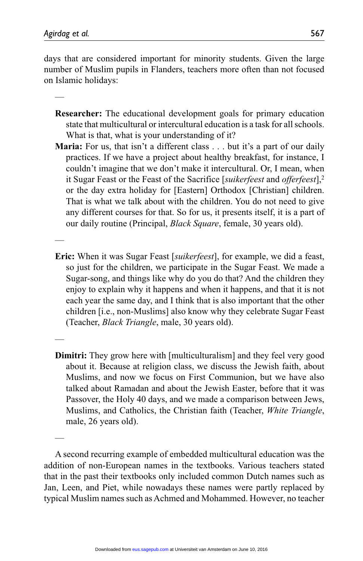—

—

—

—

days that are considered important for minority students. Given the large number of Muslim pupils in Flanders, teachers more often than not focused on Islamic holidays:

- **Researcher:** The educational development goals for primary education state that multicultural or intercultural education is a task for all schools. What is that, what is your understanding of it?
- **Maria:** For us, that isn't a different class . . . but it's a part of our daily practices. If we have a project about healthy breakfast, for instance, I couldn't imagine that we don't make it intercultural. Or, I mean, when it Sugar Feast or the Feast of the Sacrifice [*suikerfeest* and *offerfeest*],2 or the day extra holiday for [Eastern] Orthodox [Christian] children. That is what we talk about with the children. You do not need to give any different courses for that. So for us, it presents itself, it is a part of our daily routine (Principal, *Black Square*, female, 30 years old).
- **Eric:** When it was Sugar Feast [*suikerfeest*], for example, we did a feast, so just for the children, we participate in the Sugar Feast. We made a Sugar-song, and things like why do you do that? And the children they enjoy to explain why it happens and when it happens, and that it is not each year the same day, and I think that is also important that the other children [i.e., non-Muslims] also know why they celebrate Sugar Feast (Teacher, *Black Triangle*, male, 30 years old).
- **Dimitri:** They grow here with [multiculturalism] and they feel very good about it. Because at religion class, we discuss the Jewish faith, about Muslims, and now we focus on First Communion, but we have also talked about Ramadan and about the Jewish Easter, before that it was Passover, the Holy 40 days, and we made a comparison between Jews, Muslims, and Catholics, the Christian faith (Teacher, *White Triangle*, male, 26 years old).

A second recurring example of embedded multicultural education was the addition of non-European names in the textbooks. Various teachers stated that in the past their textbooks only included common Dutch names such as Jan, Leen, and Piet, while nowadays these names were partly replaced by typical Muslim names such as Achmed and Mohammed. However, no teacher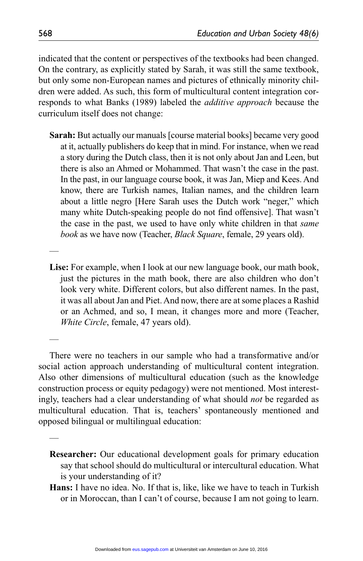indicated that the content or perspectives of the textbooks had been changed. On the contrary, as explicitly stated by Sarah, it was still the same textbook, but only some non-European names and pictures of ethnically minority children were added. As such, this form of multicultural content integration corresponds to what Banks (1989) labeled the *additive approach* because the curriculum itself does not change:

- **Sarah:** But actually our manuals [course material books] became very good at it, actually publishers do keep that in mind. For instance, when we read a story during the Dutch class, then it is not only about Jan and Leen, but there is also an Ahmed or Mohammed. That wasn't the case in the past. In the past, in our language course book, it was Jan, Miep and Kees. And know, there are Turkish names, Italian names, and the children learn about a little negro [Here Sarah uses the Dutch work "neger," which many white Dutch-speaking people do not find offensive]. That wasn't the case in the past, we used to have only white children in that *same book* as we have now (Teacher, *Black Square*, female, 29 years old).
- **Lise:** For example, when I look at our new language book, our math book, just the pictures in the math book, there are also children who don't look very white. Different colors, but also different names. In the past, it was all about Jan and Piet. And now, there are at some places a Rashid or an Achmed, and so, I mean, it changes more and more (Teacher, *White Circle*, female, 47 years old).

There were no teachers in our sample who had a transformative and/or social action approach understanding of multicultural content integration. Also other dimensions of multicultural education (such as the knowledge construction process or equity pedagogy) were not mentioned. Most interestingly, teachers had a clear understanding of what should *not* be regarded as multicultural education. That is, teachers' spontaneously mentioned and opposed bilingual or multilingual education:

- **Researcher:** Our educational development goals for primary education say that school should do multicultural or intercultural education. What is your understanding of it?
- **Hans:** I have no idea. No. If that is, like, like we have to teach in Turkish or in Moroccan, than I can't of course, because I am not going to learn.

—

—

—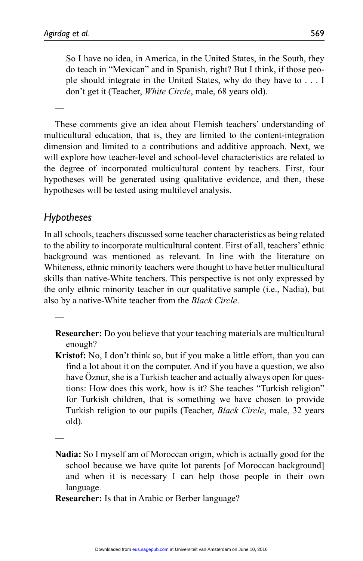—

So I have no idea, in America, in the United States, in the South, they do teach in "Mexican" and in Spanish, right? But I think, if those people should integrate in the United States, why do they have to . . . I don't get it (Teacher, *White Circle*, male, 68 years old).

These comments give an idea about Flemish teachers' understanding of multicultural education, that is, they are limited to the content-integration dimension and limited to a contributions and additive approach. Next, we will explore how teacher-level and school-level characteristics are related to the degree of incorporated multicultural content by teachers. First, four hypotheses will be generated using qualitative evidence, and then, these hypotheses will be tested using multilevel analysis.

#### *Hypotheses*

In all schools, teachers discussed some teacher characteristics as being related to the ability to incorporate multicultural content. First of all, teachers' ethnic background was mentioned as relevant. In line with the literature on Whiteness, ethnic minority teachers were thought to have better multicultural skills than native-White teachers. This perspective is not only expressed by the only ethnic minority teacher in our qualitative sample (i.e., Nadia), but also by a native-White teacher from the *Black Circle*.

—

—

- **Researcher:** Do you believe that your teaching materials are multicultural enough?
- **Kristof:** No, I don't think so, but if you make a little effort, than you can find a lot about it on the computer. And if you have a question, we also have Öznur, she is a Turkish teacher and actually always open for questions: How does this work, how is it? She teaches "Turkish religion" for Turkish children, that is something we have chosen to provide Turkish religion to our pupils (Teacher, *Black Circle*, male, 32 years old).
- **Nadia:** So I myself am of Moroccan origin, which is actually good for the school because we have quite lot parents [of Moroccan background] and when it is necessary I can help those people in their own language.
- **Researcher:** Is that in Arabic or Berber language?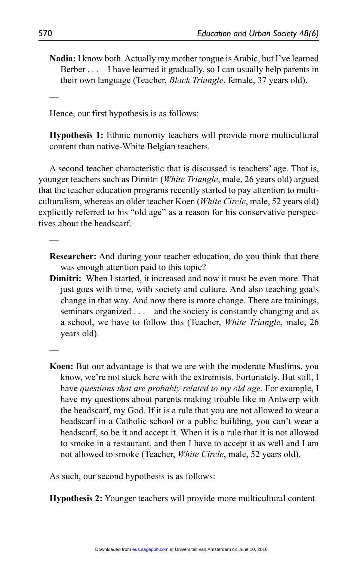**Nadia:** I know both. Actually my mother tongue is Arabic, but I've learned Berber . . . I have learned it gradually, so I can usually help parents in their own language (Teacher, *Black Triangle*, female, 37 years old).

—

Hence, our first hypothesis is as follows:

**Hypothesis 1:** Ethnic minority teachers will provide more multicultural content than native-White Belgian teachers.

A second teacher characteristic that is discussed is teachers' age. That is, younger teachers such as Dimitri (*White Triangle*, male, 26 years old) argued that the teacher education programs recently started to pay attention to multiculturalism, whereas an older teacher Koen (*White Circle*, male, 52 years old) explicitly referred to his "old age" as a reason for his conservative perspectives about the headscarf.

—

—

- **Researcher:** And during your teacher education, do you think that there was enough attention paid to this topic?
- **Dimitri:** When I started, it increased and now it must be even more. That just goes with time, with society and culture. And also teaching goals change in that way. And now there is more change. There are trainings, seminars organized . . . and the society is constantly changing and as a school, we have to follow this (Teacher, *White Triangle*, male, 26 years old).
- **Koen:** But our advantage is that we are with the moderate Muslims, you know, we're not stuck here with the extremists. Fortunately. But still, I have *questions that are probably related to my old age*. For example, I have my questions about parents making trouble like in Antwerp with the headscarf, my God. If it is a rule that you are not allowed to wear a headscarf in a Catholic school or a public building, you can't wear a headscarf, so be it and accept it. When it is a rule that it is not allowed to smoke in a restaurant, and then I have to accept it as well and I am not allowed to smoke (Teacher, *White Circle*, male, 52 years old).

As such, our second hypothesis is as follows:

**Hypothesis 2:** Younger teachers will provide more multicultural content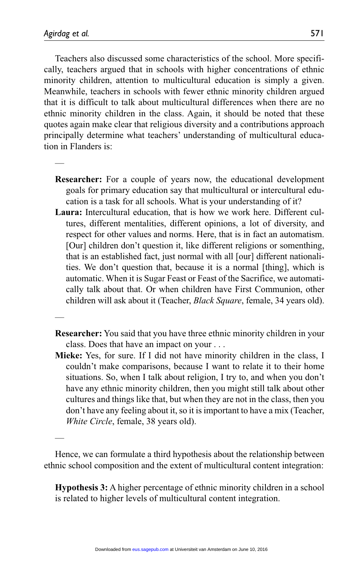—

—

—

Teachers also discussed some characteristics of the school. More specifically, teachers argued that in schools with higher concentrations of ethnic minority children, attention to multicultural education is simply a given. Meanwhile, teachers in schools with fewer ethnic minority children argued that it is difficult to talk about multicultural differences when there are no ethnic minority children in the class. Again, it should be noted that these quotes again make clear that religious diversity and a contributions approach principally determine what teachers' understanding of multicultural education in Flanders is:

- **Researcher:** For a couple of years now, the educational development goals for primary education say that multicultural or intercultural education is a task for all schools. What is your understanding of it?
- **Laura:** Intercultural education, that is how we work here. Different cultures, different mentalities, different opinions, a lot of diversity, and respect for other values and norms. Here, that is in fact an automatism. [Our] children don't question it, like different religions or somenthing, that is an established fact, just normal with all [our] different nationalities. We don't question that, because it is a normal [thing], which is automatic. When it is Sugar Feast or Feast of the Sacrifice, we automatically talk about that. Or when children have First Communion, other children will ask about it (Teacher, *Black Square*, female, 34 years old).
- **Researcher:** You said that you have three ethnic minority children in your class. Does that have an impact on your . . .
- **Mieke:** Yes, for sure. If I did not have minority children in the class, I couldn't make comparisons, because I want to relate it to their home situations. So, when I talk about religion, I try to, and when you don't have any ethnic minority children, then you might still talk about other cultures and things like that, but when they are not in the class, then you don't have any feeling about it, so it is important to have a mix (Teacher, *White Circle*, female, 38 years old).

Hence, we can formulate a third hypothesis about the relationship between ethnic school composition and the extent of multicultural content integration:

**Hypothesis 3:** A higher percentage of ethnic minority children in a school is related to higher levels of multicultural content integration.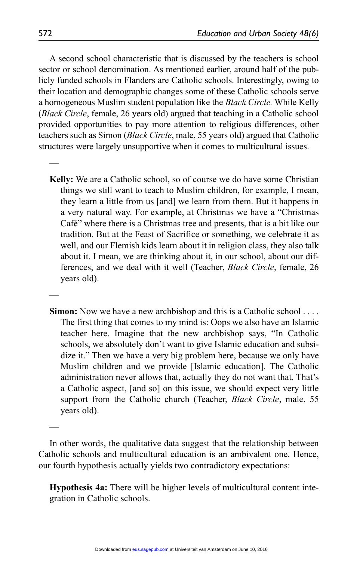A second school characteristic that is discussed by the teachers is school sector or school denomination. As mentioned earlier, around half of the publicly funded schools in Flanders are Catholic schools. Interestingly, owing to their location and demographic changes some of these Catholic schools serve a homogeneous Muslim student population like the *Black Circle.* While Kelly (*Black Circle*, female, 26 years old) argued that teaching in a Catholic school provided opportunities to pay more attention to religious differences, other teachers such as Simon (*Black Circle*, male, 55 years old) argued that Catholic structures were largely unsupportive when it comes to multicultural issues.

- **Kelly:** We are a Catholic school, so of course we do have some Christian things we still want to teach to Muslim children, for example, I mean, they learn a little from us [and] we learn from them. But it happens in a very natural way. For example, at Christmas we have a "Christmas Café" where there is a Christmas tree and presents, that is a bit like our tradition. But at the Feast of Sacrifice or something, we celebrate it as well, and our Flemish kids learn about it in religion class, they also talk about it. I mean, we are thinking about it, in our school, about our differences, and we deal with it well (Teacher, *Black Circle*, female, 26 years old).
- **Simon:** Now we have a new archbishop and this is a Catholic school . . . . The first thing that comes to my mind is: Oops we also have an Islamic teacher here. Imagine that the new archbishop says, "In Catholic schools, we absolutely don't want to give Islamic education and subsidize it." Then we have a very big problem here, because we only have Muslim children and we provide [Islamic education]. The Catholic administration never allows that, actually they do not want that. That's a Catholic aspect, [and so] on this issue, we should expect very little support from the Catholic church (Teacher, *Black Circle*, male, 55 years old).

In other words, the qualitative data suggest that the relationship between Catholic schools and multicultural education is an ambivalent one. Hence, our fourth hypothesis actually yields two contradictory expectations:

**Hypothesis 4a:** There will be higher levels of multicultural content integration in Catholic schools.

—

—

—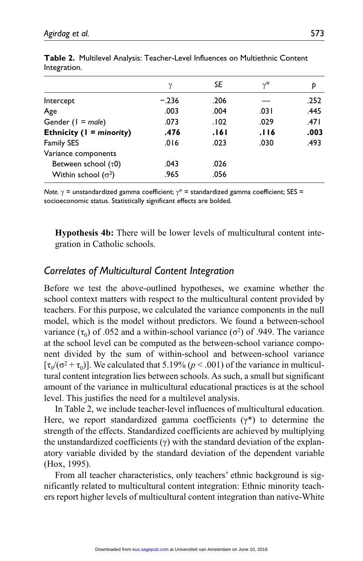|                            | γ       | SE   | ν*     | Þ    |
|----------------------------|---------|------|--------|------|
| Intercept                  | $-.236$ | .206 |        | .252 |
| Age                        | .003    | .004 | .031   | .445 |
| Gender $(I = male)$        | .073    | .102 | .029   | .471 |
| Ethnicity (I = minority)   | .476    | .161 | . I 16 | .003 |
| <b>Family SES</b>          | .016    | .023 | .030   | .493 |
| Variance components        |         |      |        |      |
| Between school $(70)$      | .043    | .026 |        |      |
| Within school $(\sigma^2)$ | .965    | .056 |        |      |

**Table 2.** Multilevel Analysis: Teacher-Level Influences on Multiethnic Content Integration.

*Note.* γ = unstandardized gamma coefficient; γ<sup>\*</sup> = standardized gamma coefficient; SES = socioeconomic status. Statistically significant effects are bolded.

**Hypothesis 4b:** There will be lower levels of multicultural content integration in Catholic schools.

### *Correlates of Multicultural Content Integration*

Before we test the above-outlined hypotheses, we examine whether the school context matters with respect to the multicultural content provided by teachers. For this purpose, we calculated the variance components in the null model, which is the model without predictors. We found a between-school variance  $(\tau_0)$  of .052 and a within-school variance ( $\sigma^2$ ) of .949. The variance at the school level can be computed as the between-school variance component divided by the sum of within-school and between-school variance  $[\tau_0/(\sigma^2 + \tau_0)]$ . We calculated that 5.19% ( $p < .001$ ) of the variance in multicultural content integration lies between schools. As such, a small but significant amount of the variance in multicultural educational practices is at the school level. This justifies the need for a multilevel analysis.

In Table 2, we include teacher-level influences of multicultural education. Here, we report standardized gamma coefficients  $(\gamma^*)$  to determine the strength of the effects. Standardized coefficients are achieved by multiplying the unstandardized coefficients  $(y)$  with the standard deviation of the explanatory variable divided by the standard deviation of the dependent variable (Hox, 1995).

From all teacher characteristics, only teachers' ethnic background is significantly related to multicultural content integration: Ethnic minority teachers report higher levels of multicultural content integration than native-White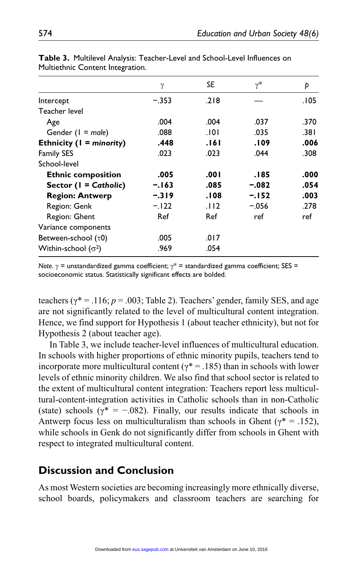|                             | γ       | SE    | $\gamma^*$ | Þ    |
|-----------------------------|---------|-------|------------|------|
| Intercept                   | $-.353$ | .218  |            | .105 |
| Teacher level               |         |       |            |      |
| Age                         | .004    | .004  | .037       | .370 |
| Gender $(I = male)$         | .088    | .101  | .035       | .381 |
| Ethnicity ( $I =$ minority) | .448    | . 161 | . 109      | .006 |
| <b>Family SES</b>           | .023    | .023  | .044       | .308 |
| School-level                |         |       |            |      |
| <b>Ethnic composition</b>   | .005    | .001  | .185       | .000 |
| Sector $(I = Catholic)$     | $-.163$ | .085  | $-.082$    | .054 |
| <b>Region: Antwerp</b>      | $-.319$ | .108  | $-.152$    | .003 |
| Region: Genk                | $-.122$ | .112  | $-.056$    | .278 |
| Region: Ghent               | Ref     | Ref   | ref        | ref  |
| Variance components         |         |       |            |      |
| Between-school $(\tau 0)$   | .005    | .017  |            |      |
| Within-school $(\sigma^2)$  | .969    | .054  |            |      |

**Table 3.** Multilevel Analysis: Teacher-Level and School-Level Influences on Multiethnic Content Integration.

*Note.* γ = unstandardized gamma coefficient; γ\* = standardized gamma coefficient; SES = socioeconomic status. Statistically significant effects are bolded.

teachers ( $\gamma^* = .116$ ;  $p = .003$ ; Table 2). Teachers' gender, family SES, and age are not significantly related to the level of multicultural content integration. Hence, we find support for Hypothesis 1 (about teacher ethnicity), but not for Hypothesis 2 (about teacher age).

In Table 3, we include teacher-level influences of multicultural education. In schools with higher proportions of ethnic minority pupils, teachers tend to incorporate more multicultural content ( $\gamma^* = .185$ ) than in schools with lower levels of ethnic minority children. We also find that school sector is related to the extent of multicultural content integration: Teachers report less multicultural-content-integration activities in Catholic schools than in non-Catholic (state) schools ( $y^* = -.082$ ). Finally, our results indicate that schools in Antwerp focus less on multiculturalism than schools in Ghent ( $\gamma^* = .152$ ), while schools in Genk do not significantly differ from schools in Ghent with respect to integrated multicultural content.

### **Discussion and Conclusion**

As most Western societies are becoming increasingly more ethnically diverse, school boards, policymakers and classroom teachers are searching for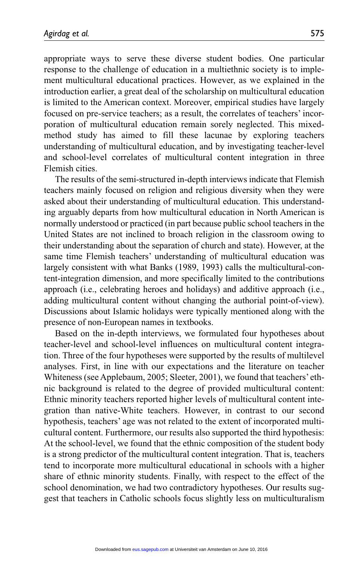appropriate ways to serve these diverse student bodies. One particular response to the challenge of education in a multiethnic society is to implement multicultural educational practices. However, as we explained in the introduction earlier, a great deal of the scholarship on multicultural education is limited to the American context. Moreover, empirical studies have largely focused on pre-service teachers; as a result, the correlates of teachers' incorporation of multicultural education remain sorely neglected. This mixedmethod study has aimed to fill these lacunae by exploring teachers understanding of multicultural education, and by investigating teacher-level and school-level correlates of multicultural content integration in three Flemish cities.

The results of the semi-structured in-depth interviews indicate that Flemish teachers mainly focused on religion and religious diversity when they were asked about their understanding of multicultural education. This understanding arguably departs from how multicultural education in North American is normally understood or practiced (in part because public school teachers in the United States are not inclined to broach religion in the classroom owing to their understanding about the separation of church and state). However, at the same time Flemish teachers' understanding of multicultural education was largely consistent with what Banks (1989, 1993) calls the multicultural-content-integration dimension, and more specifically limited to the contributions approach (i.e., celebrating heroes and holidays) and additive approach (i.e., adding multicultural content without changing the authorial point-of-view). Discussions about Islamic holidays were typically mentioned along with the presence of non-European names in textbooks.

Based on the in-depth interviews, we formulated four hypotheses about teacher-level and school-level influences on multicultural content integration. Three of the four hypotheses were supported by the results of multilevel analyses. First, in line with our expectations and the literature on teacher Whiteness (see Applebaum, 2005; Sleeter, 2001), we found that teachers' ethnic background is related to the degree of provided multicultural content: Ethnic minority teachers reported higher levels of multicultural content integration than native-White teachers. However, in contrast to our second hypothesis, teachers' age was not related to the extent of incorporated multicultural content. Furthermore, our results also supported the third hypothesis: At the school-level, we found that the ethnic composition of the student body is a strong predictor of the multicultural content integration. That is, teachers tend to incorporate more multicultural educational in schools with a higher share of ethnic minority students. Finally, with respect to the effect of the school denomination, we had two contradictory hypotheses. Our results suggest that teachers in Catholic schools focus slightly less on multiculturalism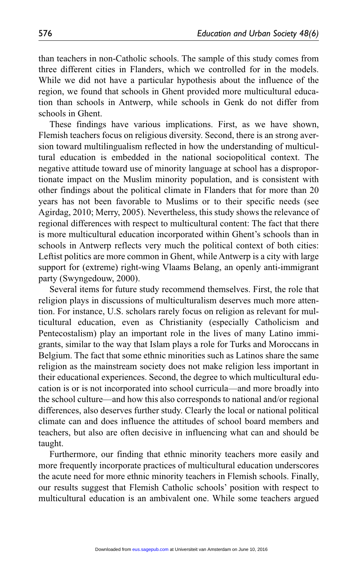than teachers in non-Catholic schools. The sample of this study comes from three different cities in Flanders, which we controlled for in the models. While we did not have a particular hypothesis about the influence of the region, we found that schools in Ghent provided more multicultural education than schools in Antwerp, while schools in Genk do not differ from schools in Ghent.

These findings have various implications. First, as we have shown, Flemish teachers focus on religious diversity. Second, there is an strong aversion toward multilingualism reflected in how the understanding of multicultural education is embedded in the national sociopolitical context. The negative attitude toward use of minority language at school has a disproportionate impact on the Muslim minority population, and is consistent with other findings about the political climate in Flanders that for more than 20 years has not been favorable to Muslims or to their specific needs (see Agirdag, 2010; Merry, 2005). Nevertheless, this study shows the relevance of regional differences with respect to multicultural content: The fact that there is more multicultural education incorporated within Ghent's schools than in schools in Antwerp reflects very much the political context of both cities: Leftist politics are more common in Ghent, while Antwerp is a city with large support for (extreme) right-wing Vlaams Belang, an openly anti-immigrant party (Swyngedouw, 2000).

Several items for future study recommend themselves. First, the role that religion plays in discussions of multiculturalism deserves much more attention. For instance, U.S. scholars rarely focus on religion as relevant for multicultural education, even as Christianity (especially Catholicism and Pentecostalism) play an important role in the lives of many Latino immigrants, similar to the way that Islam plays a role for Turks and Moroccans in Belgium. The fact that some ethnic minorities such as Latinos share the same religion as the mainstream society does not make religion less important in their educational experiences. Second, the degree to which multicultural education is or is not incorporated into school curricula—and more broadly into the school culture—and how this also corresponds to national and/or regional differences, also deserves further study. Clearly the local or national political climate can and does influence the attitudes of school board members and teachers, but also are often decisive in influencing what can and should be taught.

Furthermore, our finding that ethnic minority teachers more easily and more frequently incorporate practices of multicultural education underscores the acute need for more ethnic minority teachers in Flemish schools. Finally, our results suggest that Flemish Catholic schools' position with respect to multicultural education is an ambivalent one. While some teachers argued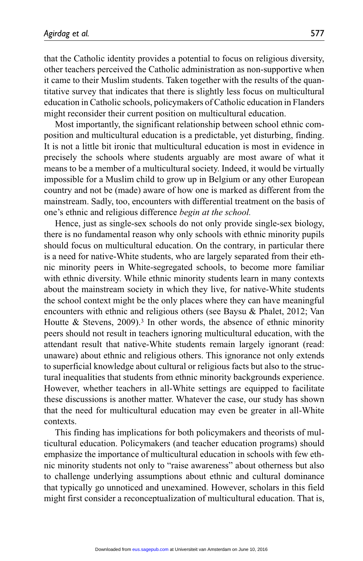that the Catholic identity provides a potential to focus on religious diversity, other teachers perceived the Catholic administration as non-supportive when it came to their Muslim students. Taken together with the results of the quantitative survey that indicates that there is slightly less focus on multicultural education in Catholic schools, policymakers of Catholic education in Flanders might reconsider their current position on multicultural education.

Most importantly, the significant relationship between school ethnic composition and multicultural education is a predictable, yet disturbing, finding. It is not a little bit ironic that multicultural education is most in evidence in precisely the schools where students arguably are most aware of what it means to be a member of a multicultural society. Indeed, it would be virtually impossible for a Muslim child to grow up in Belgium or any other European country and not be (made) aware of how one is marked as different from the mainstream. Sadly, too, encounters with differential treatment on the basis of one's ethnic and religious difference *begin at the school.*

Hence, just as single-sex schools do not only provide single-sex biology, there is no fundamental reason why only schools with ethnic minority pupils should focus on multicultural education. On the contrary, in particular there is a need for native-White students, who are largely separated from their ethnic minority peers in White-segregated schools, to become more familiar with ethnic diversity. While ethnic minority students learn in many contexts about the mainstream society in which they live, for native-White students the school context might be the only places where they can have meaningful encounters with ethnic and religious others (see Baysu & Phalet, 2012; Van Houtte  $&$  Stevens, 2009).<sup>3</sup> In other words, the absence of ethnic minority peers should not result in teachers ignoring multicultural education, with the attendant result that native-White students remain largely ignorant (read: unaware) about ethnic and religious others. This ignorance not only extends to superficial knowledge about cultural or religious facts but also to the structural inequalities that students from ethnic minority backgrounds experience. However, whether teachers in all-White settings are equipped to facilitate these discussions is another matter. Whatever the case, our study has shown that the need for multicultural education may even be greater in all-White contexts.

This finding has implications for both policymakers and theorists of multicultural education. Policymakers (and teacher education programs) should emphasize the importance of multicultural education in schools with few ethnic minority students not only to "raise awareness" about otherness but also to challenge underlying assumptions about ethnic and cultural dominance that typically go unnoticed and unexamined. However, scholars in this field might first consider a reconceptualization of multicultural education. That is,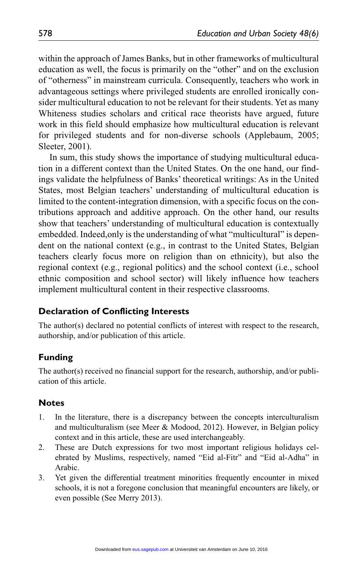within the approach of James Banks, but in other frameworks of multicultural education as well, the focus is primarily on the "other" and on the exclusion of "otherness" in mainstream curricula. Consequently, teachers who work in advantageous settings where privileged students are enrolled ironically consider multicultural education to not be relevant for their students. Yet as many Whiteness studies scholars and critical race theorists have argued, future work in this field should emphasize how multicultural education is relevant for privileged students and for non-diverse schools (Applebaum, 2005; Sleeter, 2001).

In sum, this study shows the importance of studying multicultural education in a different context than the United States. On the one hand, our findings validate the helpfulness of Banks' theoretical writings: As in the United States, most Belgian teachers' understanding of multicultural education is limited to the content-integration dimension, with a specific focus on the contributions approach and additive approach. On the other hand, our results show that teachers' understanding of multicultural education is contextually embedded. Indeed,only is the understanding of what "multicultural" is dependent on the national context (e.g., in contrast to the United States, Belgian teachers clearly focus more on religion than on ethnicity), but also the regional context (e.g., regional politics) and the school context (i.e., school ethnic composition and school sector) will likely influence how teachers implement multicultural content in their respective classrooms.

#### **Declaration of Conflicting Interests**

The author(s) declared no potential conflicts of interest with respect to the research, authorship, and/or publication of this article.

#### **Funding**

The author(s) received no financial support for the research, authorship, and/or publication of this article.

#### **Notes**

- 1. In the literature, there is a discrepancy between the concepts interculturalism and multiculturalism (see Meer & Modood, 2012). However, in Belgian policy context and in this article, these are used interchangeably.
- 2. These are Dutch expressions for two most important religious holidays celebrated by Muslims, respectively, named "Eid al-Fitr" and "Eid al-Adha" in Arabic.
- 3. Yet given the differential treatment minorities frequently encounter in mixed schools, it is not a foregone conclusion that meaningful encounters are likely, or even possible (See Merry 2013).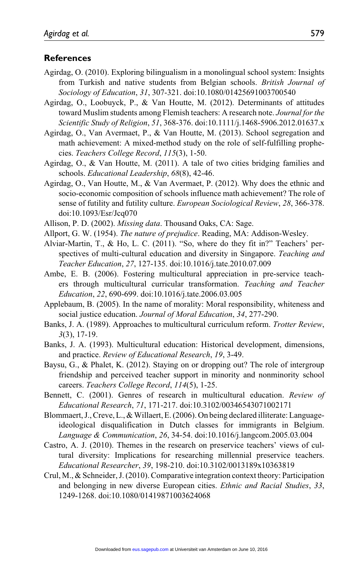#### **References**

- Agirdag, O. (2010). Exploring bilingualism in a monolingual school system: Insights from Turkish and native students from Belgian schools. *British Journal of Sociology of Education*, *31*, 307-321. doi:10.1080/01425691003700540
- Agirdag, O., Loobuyck, P., & Van Houtte, M. (2012). Determinants of attitudes toward Muslim students among Flemish teachers: A research note. *Journal for the Scientific Study of Religion*, *51*, 368-376. doi:10.1111/j.1468-5906.2012.01637.x
- Agirdag, O., Van Avermaet, P., & Van Houtte, M. (2013). School segregation and math achievement: A mixed-method study on the role of self-fulfilling prophecies. *Teachers College Record*, *115*(3), 1-50.
- Agirdag, O., & Van Houtte, M. (2011). A tale of two cities bridging families and schools. *Educational Leadership*, *68*(8), 42-46.
- Agirdag, O., Van Houtte, M., & Van Avermaet, P. (2012). Why does the ethnic and socio-economic composition of schools influence math achievement? The role of sense of futility and futility culture. *European Sociological Review*, *28*, 366-378. doi:10.1093/Esr/Jcq070
- Allison, P. D. (2002). *Missing data*. Thousand Oaks, CA: Sage.
- Allport, G. W. (1954). *The nature of prejudice*. Reading, MA: Addison-Wesley.
- Alviar-Martin, T., & Ho, L. C. (2011). "So, where do they fit in?" Teachers' perspectives of multi-cultural education and diversity in Singapore. *Teaching and Teacher Education*, *27*, 127-135. doi:10.1016/j.tate.2010.07.009
- Ambe, E. B. (2006). Fostering multicultural appreciation in pre-service teachers through multicultural curricular transformation. *Teaching and Teacher Education*, *22*, 690-699. doi:10.1016/j.tate.2006.03.005
- Applebaum, B. (2005). In the name of morality: Moral responsibility, whiteness and social justice education. *Journal of Moral Education*, *34*, 277-290.
- Banks, J. A. (1989). Approaches to multicultural curriculum reform. *Trotter Review*, *3*(3), 17-19.
- Banks, J. A. (1993). Multicultural education: Historical development, dimensions, and practice. *Review of Educational Research*, *19*, 3-49.
- Baysu, G., & Phalet, K. (2012). Staying on or dropping out? The role of intergroup friendship and perceived teacher support in minority and nonminority school careers. *Teachers College Record*, *114*(5), 1-25.
- Bennett, C. (2001). Genres of research in multicultural education. *Review of Educational Research*, *71*, 171-217. doi:10.3102/00346543071002171
- Blommaert, J., Creve, L., & Willaert, E. (2006). On being declared illiterate: Languageideological disqualification in Dutch classes for immigrants in Belgium. *Language & Communication*, *26*, 34-54. doi:10.1016/j.langcom.2005.03.004
- Castro, A. J. (2010). Themes in the research on preservice teachers' views of cultural diversity: Implications for researching millennial preservice teachers. *Educational Researcher*, *39*, 198-210. doi:10.3102/0013189x10363819
- Crul, M., & Schneider, J. (2010). Comparative integration context theory: Participation and belonging in new diverse European cities. *Ethnic and Racial Studies*, *33*, 1249-1268. doi:10.1080/01419871003624068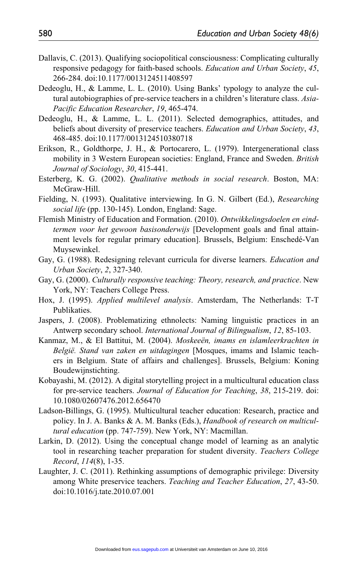- Dallavis, C. (2013). Qualifying sociopolitical consciousness: Complicating culturally responsive pedagogy for faith-based schools. *Education and Urban Society*, *45*, 266-284. doi:10.1177/0013124511408597
- Dedeoglu, H., & Lamme, L. L. (2010). Using Banks' typology to analyze the cultural autobiographies of pre-service teachers in a children's literature class. *Asia-Pacific Education Researcher*, *19*, 465-474.
- Dedeoglu, H., & Lamme, L. L. (2011). Selected demographics, attitudes, and beliefs about diversity of preservice teachers. *Education and Urban Society*, *43*, 468-485. doi:10.1177/0013124510380718
- Erikson, R., Goldthorpe, J. H., & Portocarero, L. (1979). Intergenerational class mobility in 3 Western European societies: England, France and Sweden. *British Journal of Sociology*, *30*, 415-441.
- Esterberg, K. G. (2002). *Qualitative methods in social research*. Boston, MA: McGraw-Hill.
- Fielding, N. (1993). Qualitative interviewing. In G. N. Gilbert (Ed.), *Researching social life* (pp. 130-145). London, England: Sage.
- Flemish Ministry of Education and Formation. (2010). *Ontwikkelingsdoelen en eindtermen voor het gewoon basisonderwijs* [Development goals and final attainment levels for regular primary education]. Brussels, Belgium: Enschedé-Van Muysewinkel.
- Gay, G. (1988). Redesigning relevant curricula for diverse learners. *Education and Urban Society*, *2*, 327-340.
- Gay, G. (2000). *Culturally responsive teaching: Theory, research, and practice*. New York, NY: Teachers College Press.
- Hox, J. (1995). *Applied multilevel analysis*. Amsterdam, The Netherlands: T-T Publikaties.
- Jaspers, J. (2008). Problematizing ethnolects: Naming linguistic practices in an Antwerp secondary school. *International Journal of Bilingualism*, *12*, 85-103.
- Kanmaz, M., & El Battitui, M. (2004). *Moskeeën, imams en islamleerkrachten in België. Stand van zaken en uitdagingen* [Mosques, imams and Islamic teachers in Belgium. State of affairs and challenges]. Brussels, Belgium: Koning Boudewijnstichting.
- Kobayashi, M. (2012). A digital storytelling project in a multicultural education class for pre-service teachers. *Journal of Education for Teaching*, *38*, 215-219. doi: 10.1080/02607476.2012.656470
- Ladson-Billings, G. (1995). Multicultural teacher education: Research, practice and policy. In J. A. Banks & A. M. Banks (Eds.), *Handbook of research on multicultural education* (pp. 747-759). New York, NY: Macmillan.
- Larkin, D. (2012). Using the conceptual change model of learning as an analytic tool in researching teacher preparation for student diversity. *Teachers College Record*, *114*(8), 1-35.
- Laughter, J. C. (2011). Rethinking assumptions of demographic privilege: Diversity among White preservice teachers. *Teaching and Teacher Education*, *27*, 43-50. doi:10.1016/j.tate.2010.07.001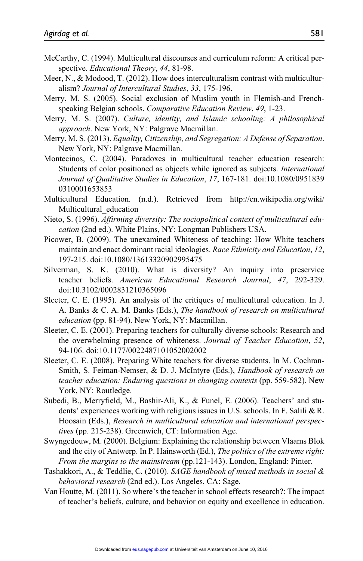- McCarthy, C. (1994). Multicultural discourses and curriculum reform: A critical perspective. *Educational Theory*, *44*, 81-98.
- Meer, N., & Modood, T. (2012). How does interculturalism contrast with multiculturalism? *Journal of Intercultural Studies*, *33*, 175-196.
- Merry, M. S. (2005). Social exclusion of Muslim youth in Flemish-and Frenchspeaking Belgian schools. *Comparative Education Review*, *49*, 1-23.
- Merry, M. S. (2007). *Culture, identity, and Islamic schooling: A philosophical approach*. New York, NY: Palgrave Macmillan.
- Merry, M. S. (2013). *Equality, Citizenship, and Segregation: A Defense of Separation*. New York, NY: Palgrave Macmillan.
- Montecinos, C. (2004). Paradoxes in multicultural teacher education research: Students of color positioned as objects while ignored as subjects. *International Journal of Qualitative Studies in Education*, *17*, 167-181. doi:10.1080/0951839 0310001653853
- Multicultural Education. (n.d.). Retrieved from [http://en.wikipedia.org/wiki/](http://en.wikipedia.org/wiki/Multicultural_education) [Multicultural\\_education](http://en.wikipedia.org/wiki/Multicultural_education)
- Nieto, S. (1996). *Affirming diversity: The sociopolitical context of multicultural education* (2nd ed.). White Plains, NY: Longman Publishers USA.
- Picower, B. (2009). The unexamined Whiteness of teaching: How White teachers maintain and enact dominant racial ideologies. *Race Ethnicity and Education*, *12*, 197-215. doi:10.1080/13613320902995475
- Silverman, S. K. (2010). What is diversity? An inquiry into preservice teacher beliefs. *American Educational Research Journal*, *47*, 292-329. doi:10.3102/0002831210365096
- Sleeter, C. E. (1995). An analysis of the critiques of multicultural education. In J. A. Banks & C. A. M. Banks (Eds.), *The handbook of research on multicultural education* (pp. 81-94). New York, NY: Macmillan.
- Sleeter, C. E. (2001). Preparing teachers for culturally diverse schools: Research and the overwhelming presence of whiteness. *Journal of Teacher Education*, *52*, 94-106. doi:10.1177/0022487101052002002
- Sleeter, C. E. (2008). Preparing White teachers for diverse students. In M. Cochran-Smith, S. Feiman-Nemser, & D. J. McIntyre (Eds.), *Handbook of research on teacher education: Enduring questions in changing contexts* (pp. 559-582). New York, NY: Routledge.
- Subedi, B., Merryfield, M., Bashir-Ali, K., & Funel, E. (2006). Teachers' and students' experiences working with religious issues in U.S. schools. In F. Salili & R. Hoosain (Eds.), *Research in multicultural education and international perspectives* (pp. 215-238). Greenwich, CT: Information Age.
- Swyngedouw, M. (2000). Belgium: Explaining the relationship between Vlaams Blok and the city of Antwerp. In P. Hainsworth (Ed.), *The politics of the extreme right: From the margins to the mainstream* (pp.121-143). London, England: Pinter.
- Tashakkori, A., & Teddlie, C. (2010). *SAGE handbook of mixed methods in social & behavioral research* (2nd ed.). Los Angeles, CA: Sage.
- Van Houtte, M. (2011). So where's the teacher in school effects research?: The impact of teacher's beliefs, culture, and behavior on equity and excellence in education.